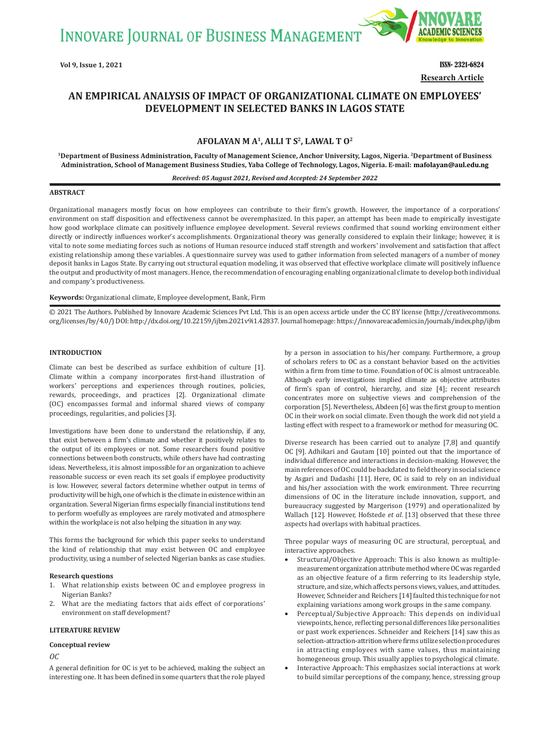**INNOVARE JOURNAL OF BUSINESS MANAGEMENT** 



**Vol 9, Issue 1, 2021** ISSN- 2321-6824 **Research Article**

# **An EMPIRICAL ANALYSIS OF IMPACT OF ORGANIZATIONAL CLIMATE ON employees' development in SELECTED BANKS IN lagos state**

# AFOLAYAN M A<sup>1</sup>, ALLI T S<sup>2</sup>, LAWAL T O<sup>2</sup>

**<sup>1</sup>department of Business Administration, Faculty of Management Science, Anchor University, Lagos, nigeria. <sup>2</sup>department of Business Administration, School of Management Business Studies, Yaba College of Technology, Lagos, nigeria. E-mail: mafolayan@aul.edu.ng** 

### *Received: 05 August 2021, Revised and Accepted: 24 September 2022*

## **ABSTRACT**

Organizational managers mostly focus on how employees can contribute to their firm's growth. However, the importance of a corporations' environment on staff disposition and effectiveness cannot be overemphasized. In this paper, an attempt has been made to empirically investigate how good workplace climate can positively influence employee development. Several reviews confirmed that sound working environment either directly or indirectly influences worker's accomplishments. Organizational theory was generally considered to explain their linkage; however, it is vital to note some mediating forces such as notions of Human resource induced staff strength and workers' involvement and satisfaction that affect existing relationship among these variables. A questionnaire survey was used to gather information from selected managers of a number of money deposit banks in Lagos State. By carrying out structural equation modeling, it was observed that effective workplace climate will positively influence the output and productivity of most managers. Hence, the recommendation of encouraging enabling organizational climate to develop both individual and company's productiveness.

**Keywords:** Organizational climate, Employee development, Bank, Firm

© 2021 The Authors. Published by Innovare Academic Sciences Pvt Ltd. This is an open access article under the CC BY license (http://creativecommons. org/licenses/by/4.0/) DOI: http://dx.doi.org/10.22159/ijbm.2021v9i1.42837. Journal homepage: https://innovareacademics.in/journals/index.php/ijbm

### **INTRODUCTION**

Climate can best be described as surface exhibition of culture [1]. Climate within a company incorporates first-hand illustration of workers' perceptions and experiences through routines, policies, rewards, proceedings, and practices [2]. Organizational climate (OC) encompasses formal and informal shared views of company proceedings, regularities, and policies [3].

Investigations have been done to understand the relationship, if any, that exist between a firm's climate and whether it positively relates to the output of its employees or not. Some researchers found positive connections between both constructs, while others have had contrasting ideas. Nevertheless, it is almost impossible for an organization to achieve reasonable success or even reach its set goals if employee productivity is low. However, several factors determine whether output in terms of productivity will be high, one of which is the climate in existence within an organization. Several Nigerian firms especially financial institutions tend to perform woefully as employees are rarely motivated and atmosphere within the workplace is not also helping the situation in any way.

This forms the background for which this paper seeks to understand the kind of relationship that may exist between OC and employee productivity, using a number of selected Nigerian banks as case studies.

#### **Research questions**

- 1. What relationship exists between OC and employee progress in Nigerian Banks?
- 2. What are the mediating factors that aids effect of corporations' environment on staff development?

### **LITERATURE REVIEW**

#### **Conceptual review**

#### *OC*

A general definition for OC is yet to be achieved, making the subject an interesting one. It has been defined in some quarters that the role played

by a person in association to his/her company. Furthermore, a group of scholars refers to OC as a constant behavior based on the activities within a firm from time to time. Foundation of OC is almost untraceable. Although early investigations implied climate as objective attributes of firm's span of control, hierarchy, and size [4]; recent research concentrates more on subjective views and comprehension of the corporation [5]. Nevertheless, Abdeen [6] was the first group to mention OC in their work on social climate. Even though the work did not yield a lasting effect with respect to a framework or method for measuring OC.

Diverse research has been carried out to analyze [7,8] and quantify OC [9]. Adhikari and Gautam [10] pointed out that the importance of individual difference and interactions in decision-making. However, the main references of OC could be backdated to field theory in social science by Asgari and Dadashi [11]. Here, OC is said to rely on an individual and his/her association with the work environment. Three recurring dimensions of OC in the literature include innovation, support, and bureaucracy suggested by Margerison (1979) and operationalized by Wallach [12]. However, Hofstede *et al*. [13] observed that these three aspects had overlaps with habitual practices.

Three popular ways of measuring OC are structural, perceptual, and interactive approaches.

- Structural/Objective Approach: This is also known as multiplemeasurement organization attribute method where OC was regarded as an objective feature of a firm referring to its leadership style, structure, and size, which affects persons views, values, and attitudes. However, Schneider and Reichers [14] faulted this technique for not explaining variations among work groups in the same company.
- Perceptual/Subjective Approach: This depends on individual viewpoints, hence, reflecting personal differences like personalities or past work experiences. Schneider and Reichers [14] saw this as selection-attraction-attrition where firms utilize selection procedures in attracting employees with same values, thus maintaining homogeneous group. This usually applies to psychological climate.
- Interactive Approach: This emphasizes social interactions at work to build similar perceptions of the company, hence, stressing group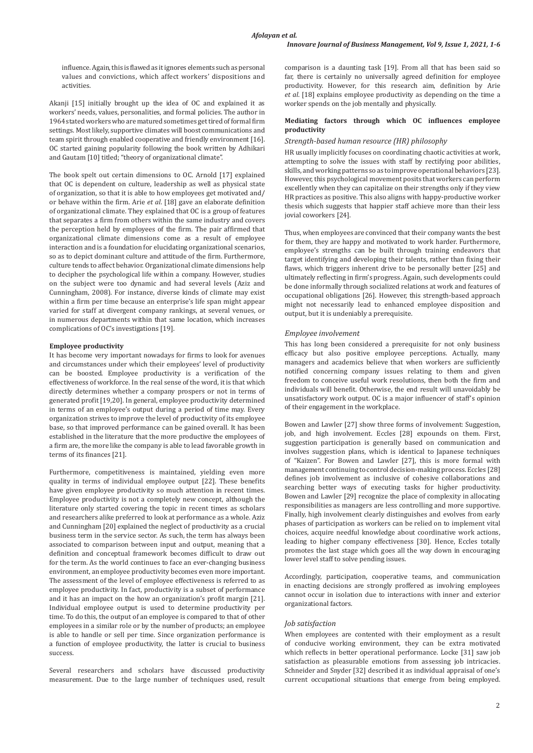influence. Again, this is flawed as it ignores elements such as personal values and convictions, which affect workers' dispositions and activities.

Akanji [15] initially brought up the idea of OC and explained it as workers' needs, values, personalities, and formal policies. The author in 1964 stated workers who are matured sometimes get tired of formal firm settings. Most likely, supportive climates will boost communications and team spirit through enabled cooperative and friendly environment [16]. OC started gaining popularity following the book written by Adhikari and Gautam [10] titled; "theory of organizational climate".

The book spelt out certain dimensions to OC. Arnold [17] explained that OC is dependent on culture, leadership as well as physical state of organization, so that it is able to how employees get motivated and/ or behave within the firm. Arie *et al*. [18] gave an elaborate definition of organizational climate. They explained that OC is a group of features that separates a firm from others within the same industry and covers the perception held by employees of the firm. The pair affirmed that organizational climate dimensions come as a result of employee interaction and is a foundation for elucidating organizational scenarios, so as to depict dominant culture and attitude of the firm. Furthermore, culture tends to affect behavior. Organizational climate dimensions help to decipher the psychological life within a company. However, studies on the subject were too dynamic and had several levels (Aziz and Cunningham, 2008). For instance, diverse kinds of climate may exist within a firm per time because an enterprise's life span might appear varied for staff at divergent company rankings, at several venues, or in numerous departments within that same location, which increases complications of OC's investigations [19].

### **Employee productivity**

It has become very important nowadays for firms to look for avenues and circumstances under which their employees' level of productivity can be boosted. Employee productivity is a verification of the effectiveness of workforce. In the real sense of the word, it is that which directly determines whether a company prospers or not in terms of generated profit [19,20]. In general, employee productivity determined in terms of an employee's output during a period of time may. Every organization strives to improve the level of productivity of its employee base, so that improved performance can be gained overall. It has been established in the literature that the more productive the employees of a firm are, the more like the company is able to lead favorable growth in terms of its finances [21].

Furthermore, competitiveness is maintained, yielding even more quality in terms of individual employee output [22]. These benefits have given employee productivity so much attention in recent times. Employee productivity is not a completely new concept, although the literature only started covering the topic in recent times as scholars and researchers alike preferred to look at performance as a whole. Aziz and Cunningham [20] explained the neglect of productivity as a crucial business term in the service sector. As such, the term has always been associated to comparison between input and output, meaning that a definition and conceptual framework becomes difficult to draw out for the term. As the world continues to face an ever-changing business environment, an employee productivity becomes even more important. The assessment of the level of employee effectiveness is referred to as employee productivity. In fact, productivity is a subset of performance and it has an impact on the how an organization's profit margin [21]. Individual employee output is used to determine productivity per time. To do this, the output of an employee is compared to that of other employees in a similar role or by the number of products; an employee is able to handle or sell per time. Since organization performance is a function of employee productivity, the latter is crucial to business success.

Several researchers and scholars have discussed productivity measurement. Due to the large number of techniques used, result comparison is a daunting task [19]. From all that has been said so far, there is certainly no universally agreed definition for employee productivity. However, for this research aim, definition by Arie *et al*. [18] explains employee productivity as depending on the time a worker spends on the job mentally and physically.

# **Mediating factors through which OC influences employee productivity**

# *Strength-based human resource (HR) philosophy*

HR usually implicitly focuses on coordinating chaotic activities at work, attempting to solve the issues with staff by rectifying poor abilities, skills, and working patterns so as to improve operational behaviors [23]. However, this psychological movement posits that workers can perform excellently when they can capitalize on their strengths only if they view HR practices as positive. This also aligns with happy-productive worker thesis which suggests that happier staff achieve more than their less jovial coworkers [24].

Thus, when employees are convinced that their company wants the best for them, they are happy and motivated to work harder. Furthermore, employee's strengths can be built through training endeavors that target identifying and developing their talents, rather than fixing their flaws, which triggers inherent drive to be personally better [25] and ultimately reflecting in firm's progress. Again, such developments could be done informally through socialized relations at work and features of occupational obligations [26]. However, this strength-based approach might not necessarily lead to enhanced employee disposition and output, but it is undeniably a prerequisite.

# *Employee involvement*

This has long been considered a prerequisite for not only business efficacy but also positive employee perceptions. Actually, many managers and academics believe that when workers are sufficiently notified concerning company issues relating to them and given freedom to conceive useful work resolutions, then both the firm and individuals will benefit. Otherwise, the end result will unavoidably be unsatisfactory work output. OC is a major influencer of staff's opinion of their engagement in the workplace.

Bowen and Lawler [27] show three forms of involvement: Suggestion, job, and high involvement. Eccles [28] expounds on them. First, suggestion participation is generally based on communication and involves suggestion plans, which is identical to Japanese techniques of "Kaizen". For Bowen and Lawler [27], this is more formal with management continuing to control decision-making process. Eccles [28] defines job involvement as inclusive of cohesive collaborations and searching better ways of executing tasks for higher productivity. Bowen and Lawler [29] recognize the place of complexity in allocating responsibilities as managers are less controlling and more supportive. Finally, high involvement clearly distinguishes and evolves from early phases of participation as workers can be relied on to implement vital choices, acquire needful knowledge about coordinative work actions, leading to higher company effectiveness [30]. Hence, Eccles totally promotes the last stage which goes all the way down in encouraging lower level staff to solve pending issues.

Accordingly, participation, cooperative teams, and communication in enacting decisions are strongly proffered as involving employees cannot occur in isolation due to interactions with inner and exterior organizational factors.

# *Job satisfaction*

When employees are contented with their employment as a result of conducive working environment, they can be extra motivated which reflects in better operational performance. Locke [31] saw job satisfaction as pleasurable emotions from assessing job intricacies. Schneider and Snyder [32] described it as individual appraisal of one's current occupational situations that emerge from being employed.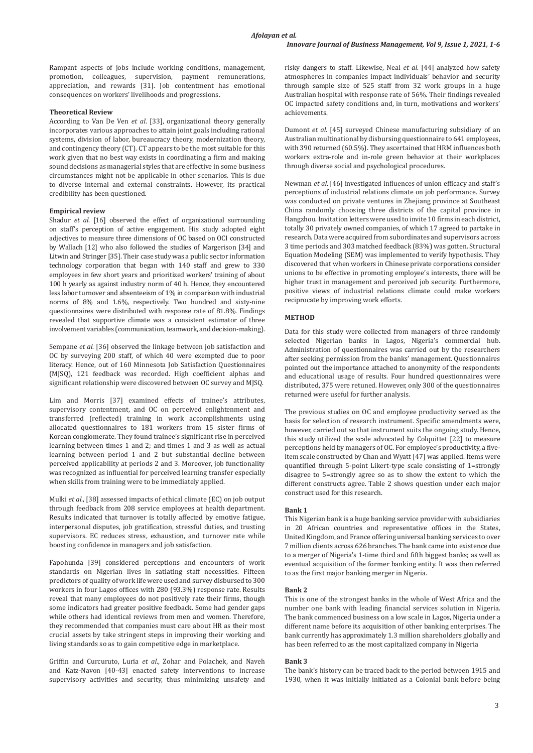Rampant aspects of jobs include working conditions, management, promotion, colleagues, supervision, payment remunerations, appreciation, and rewards [31]. Job contentment has emotional consequences on workers' livelihoods and progressions.

### **Theoretical Review**

According to Van De Ven *et al*. [33], organizational theory generally incorporates various approaches to attain joint goals including rational systems, division of labor, bureaucracy theory, modernization theory, and contingency theory (CT). CT appears to be the most suitable for this work given that no best way exists in coordinating a firm and making sound decisions as managerial styles that are effective in some business circumstances might not be applicable in other scenarios. This is due to diverse internal and external constraints. However, its practical credibility has been questioned.

## **Empirical review**

Shadur *et al*. [16] observed the effect of organizational surrounding on staff's perception of active engagement. His study adopted eight adjectives to measure three dimensions of OC based on OCI constructed by Wallach [12] who also followed the studies of Margerison [34] and Litwin and Stringer [35]. Their case study was a public sector information technology corporation that began with 140 staff and grew to 330 employees in few short years and prioritized workers' training of about 100 h yearly as against industry norm of 40 h. Hence, they encountered less labor turnover and absenteeism of 1% in comparison with industrial norms of 8% and 1.6%, respectively. Two hundred and sixty-nine questionnaires were distributed with response rate of 81.8%. Findings revealed that supportive climate was a consistent estimator of three involvement variables (communication, teamwork, and decision-making).

Sempane *et al*. [36] observed the linkage between job satisfaction and OC by surveying 200 staff, of which 40 were exempted due to poor literacy. Hence, out of 160 Minnesota Job Satisfaction Questionnaires (MJSQ), 121 feedback was recorded. High coefficient alphas and significant relationship were discovered between OC survey and MJSQ.

Lim and Morris [37] examined effects of trainee's attributes, supervisory contentment, and OC on perceived enlightenment and transferred (reflected) training in work accomplishments using allocated questionnaires to 181 workers from 15 sister firms of Korean conglomerate. They found trainee's significant rise in perceived learning between times 1 and 2; and times 1 and 3 as well as actual learning between period 1 and 2 but substantial decline between perceived applicability at periods 2 and 3. Moreover, job functionality was recognized as influential for perceived learning transfer especially when skills from training were to be immediately applied.

Mulki *et al.*, [38] assessed impacts of ethical climate (EC) on job output through feedback from 208 service employees at health department. Results indicated that turnover is totally affected by emotive fatigue, interpersonal disputes, job gratification, stressful duties, and trusting supervisors. EC reduces stress, exhaustion, and turnover rate while boosting confidence in managers and job satisfaction.

Fapohunda [39] considered perceptions and encounters of work standards on Nigerian lives in satiating staff necessities. Fifteen predictors of quality of work life were used and survey disbursed to 300 workers in four Lagos offices with 280 (93.3%) response rate. Results reveal that many employees do not positively rate their firms, though some indicators had greater positive feedback. Some had gender gaps while others had identical reviews from men and women. Therefore, they recommended that companies must care about HR as their most crucial assets by take stringent steps in improving their working and living standards so as to gain competitive edge in marketplace.

Griffin and Curcuruto, Luria *et al*., Zohar and Polachek, and Naveh and Katz-Navon [40-43] enacted safety interventions to increase supervisory activities and security, thus minimizing unsafety and risky dangers to staff. Likewise, Neal *et al*. [44] analyzed how safety atmospheres in companies impact individuals' behavior and security through sample size of 525 staff from 32 work groups in a huge Australian hospital with response rate of 56%. Their findings revealed OC impacted safety conditions and, in turn, motivations and workers' achievements.

Dumont *et al*. [45] surveyed Chinese manufacturing subsidiary of an Australian multinational by disbursing questionnaire to 641 employees, with 390 returned (60.5%). They ascertained that HRM influences both workers extra-role and in-role green behavior at their workplaces through diverse social and psychological procedures.

Newman *et al*. [46] investigated influences of union efficacy and staff's perceptions of industrial relations climate on job performance. Survey was conducted on private ventures in Zhejiang province at Southeast China randomly choosing three districts of the capital province in Hangzhou. Invitation letters were used to invite 10 firms in each district, totally 30 privately owned companies, of which 17 agreed to partake in research. Data were acquired from subordinates and supervisors across 3 time periods and 303 matched feedback (83%) was gotten. Structural Equation Modeling (SEM) was implemented to verify hypothesis. They discovered that when workers in Chinese private corporations consider unions to be effective in promoting employee's interests, there will be higher trust in management and perceived job security. Furthermore, positive views of industrial relations climate could make workers reciprocate by improving work efforts.

# **method**

Data for this study were collected from managers of three randomly selected Nigerian banks in Lagos, Nigeria's commercial hub. Administration of questionnaires was carried out by the researchers after seeking permission from the banks' management. Questionnaires pointed out the importance attached to anonymity of the respondents and educational usage of results. Four hundred questionnaires were distributed, 375 were retuned. However, only 300 of the questionnaires returned were useful for further analysis.

The previous studies on OC and employee productivity served as the basis for selection of research instrument. Specific amendments were, however, carried out so that instrument suits the ongoing study. Hence, this study utilized the scale advocated by Colquittet [22] to measure perceptions held by managers of OC. For employee's productivity, a fiveitem scale constructed by Chan and Wyatt [47] was applied. Items were quantified through 5-point Likert-type scale consisting of 1=strongly disagree to 5=strongly agree so as to show the extent to which the different constructs agree. Table 2 shows question under each major construct used for this research.

### **Bank 1**

This Nigerian bank is a huge banking service provider with subsidiaries in 20 African countries and representative offices in the States, United Kingdom, and France offering universal banking services to over 7 million clients across 626 branches. The bank came into existence due to a merger of Nigeria's 1-time third and fifth biggest banks; as well as eventual acquisition of the former banking entity. It was then referred to as the first major banking merger in Nigeria.

### **Bank 2**

This is one of the strongest banks in the whole of West Africa and the number one bank with leading financial services solution in Nigeria. The bank commenced business on a low scale in Lagos, Nigeria under a different name before its acquisition of other banking enterprises. The bank currently has approximately 1.3 million shareholders globally and has been referred to as the most capitalized company in Nigeria

### **Bank 3**

The bank's history can be traced back to the period between 1915 and 1930, when it was initially initiated as a Colonial bank before being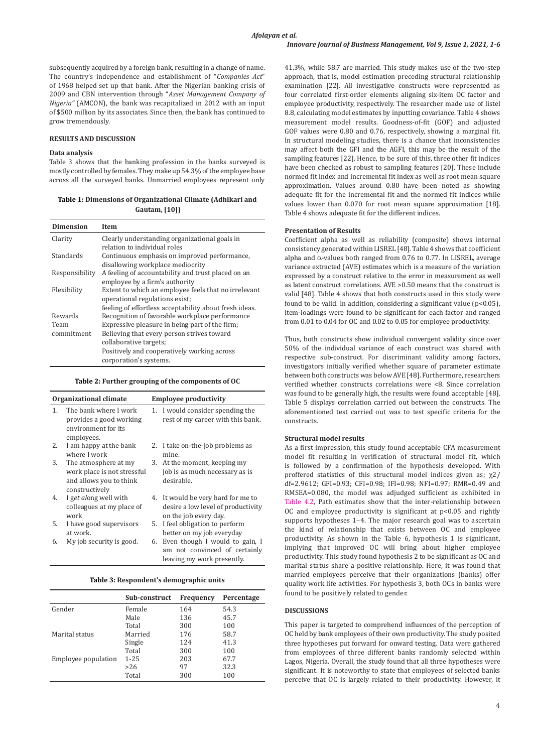subsequently acquired by a foreign bank, resulting in a change of name. The country's independence and establishment of "*Companies Act*" of 1968 helped set up that bank. After the Nigerian banking crisis of 2009 and CBN intervention through "*Asset Management Company of Nigeria"* (AMCON), the bank was recapitalized in 2012 with an input of \$500 million by its associates. Since then, the bank has continued to grow tremendously.

# **RESULTS AND DISCUSSION**

### **Data analysis**

Table 3 shows that the banking profession in the banks surveyed is mostly controlled by females. They make up 54.3% of the employee base across all the surveyed banks. Unmarried employees represent only

# Table 1: Dimensions of Organizational Climate (Adhikari and **Gautam, [10])**

| <b>Dimension</b> | Item                                                   |
|------------------|--------------------------------------------------------|
| Clarity          | Clearly understanding organizational goals in          |
|                  | relation to individual roles                           |
| Standards        | Continuous emphasis on improved performance,           |
|                  | disallowing workplace mediocrity                       |
| Responsibility   | A feeling of accountability and trust placed on an     |
|                  | employee by a firm's authority                         |
| Flexibility      | Extent to which an employee feels that no irrelevant   |
|                  | operational regulations exist;                         |
|                  | feeling of effortless acceptability about fresh ideas. |
| Rewards          | Recognition of favorable workplace performance         |
| Team             | Expressive pleasure in being part of the firm;         |
| commitment       | Believing that every person strives toward             |
|                  | collaborative targets;                                 |
|                  | Positively and cooperatively working across            |
|                  | corporation's systems.                                 |

## **Table 2: Further grouping of the components of OC**

| Organizational climate |                                                                                                  | <b>Employee productivity</b> |                                                                                                   |  |
|------------------------|--------------------------------------------------------------------------------------------------|------------------------------|---------------------------------------------------------------------------------------------------|--|
| 1.                     | The bank where I work<br>provides a good working<br>environment for its<br>employees.            |                              | 1. I would consider spending the<br>rest of my career with this bank.                             |  |
| 2.                     | I am happy at the bank<br>where I work                                                           |                              | 2. I take on-the-job problems as<br>mine.                                                         |  |
| 3.                     | The atmosphere at my<br>work place is not stressful<br>and allows you to think<br>constructively | 3.                           | At the moment, keeping my<br>job is as much necessary as is<br>desirable.                         |  |
| 4.                     | I get along well with<br>colleagues at my place of<br>work                                       |                              | 4. It would be very hard for me to<br>desire a low level of productivity<br>on the job every day. |  |
| 5.                     | I have good supervisors<br>at work.                                                              | 5.                           | I feel obligation to perform<br>better on my job everyday                                         |  |
| 6.                     | My job security is good.                                                                         | 6.                           | Even though I would to gain, I<br>am not convinced of certainly                                   |  |

### **Table 3: Respondent's demographic units**

leaving my work presently.

|                     | Sub-construct | Frequency | Percentage |
|---------------------|---------------|-----------|------------|
| Gender              | Female        | 164       | 54.3       |
|                     | Male          | 136       | 45.7       |
|                     | Total         | 300       | 100        |
| Marital status      | Married       | 176       | 58.7       |
|                     | Single        | 124       | 41.3       |
|                     | Total         | 300       | 100        |
| Employee population | $1 - 25$      | 203       | 67.7       |
|                     | >26           | 97        | 32.3       |
|                     | Total         | 300       | 100        |

41.3%, while 58.7 are married. This study makes use of the two-step approach, that is, model estimation preceding structural relationship examination [22]. All investigative constructs were represented as four correlated first-order elements aligning six-item OC factor and employee productivity, respectively. The researcher made use of listel 8.8, calculating model estimates by inputting covariance. Table 4 shows measurement model results. Goodness-of-fit (GOF) and adjusted GOF values were 0.80 and 0.76, respectively, showing a marginal fit. In structural modeling studies, there is a chance that inconsistencies may affect both the GFI and the AGFI, this may be the result of the sampling features [22]. Hence, to be sure of this, three other fit indices have been checked as robust to sampling features [20]. These include normed fit index and incremental fit index as well as root mean square approximation. Values around 0.80 have been noted as showing adequate fit for the incremental fit and the normed fit indices while values lower than 0.070 for root mean square approximation [18]. Table 4 shows adequate fit for the different indices.

### **Presentation of Results**

Coefficient alpha as well as reliability (composite) shows internal consistency generated within LISREL [48]. Table 4 shows that coefficient alpha and α-values both ranged from 0.76 to 0.77. In LISREL, average variance extracted (AVE) estimates which is a measure of the variation expressed by a construct relative to the error in measurement as well as latent construct correlations. AVE >0.50 means that the construct is valid [48]. Table 4 shows that both constructs used in this study were found to be valid. In addition, considering a significant value ( $p$ <0.05), item-loadings were found to be significant for each factor and ranged from 0.01 to 0.04 for OC and 0.02 to 0.05 for employee productivity.

Thus, both constructs show individual convergent validity since over 50% of the individual variance of each construct was shared with respective sub-construct. For discriminant validity among factors, investigators initially verified whether square of parameter estimate between both constructs was below AVE [48]. Furthermore, researchers verified whether constructs correlations were <8. Since correlation was found to be generally high, the results were found acceptable [48]. Table 5 displays correlation carried out between the constructs. The aforementioned test carried out was to test specific criteria for the constructs.

### **Structural model results**

As a first impression, this study found acceptable CFA measurement model fit resulting in verification of structural model fit, which is followed by a confirmation of the hypothesis developed. With proffered statistics of this structural model indices given as;  $\chi$ 2/ df=2.9612; GFI=0.93; CFI=0.98; IFI=0.98; NFI=0.97; RMR=0.49 and RMSEA=0.080, the model was adjudged sufficient as exhibited in Table 4.2, Path estimates show that the inter-relationship between OC and employee productivity is significant at  $p$ <0.05 and rightly supports hypotheses 1–4. The major research goal was to ascertain the kind of relationship that exists between OC and employee productivity. As shown in the Table 6, hypothesis 1 is significant, implying that improved OC will bring about higher employee productivity. This study found hypothesis 2 to be significant as OC and marital status share a positive relationship. Here, it was found that married employees perceive that their organizations (banks) offer quality work life activities. For hypothesis 3, both OCs in banks were found to be positively related to gender.

## **DISCUSSIONS**

This paper is targeted to comprehend influences of the perception of OC held by bank employees of their own productivity. The study posited three hypotheses put forward for onward testing. Data were gathered from employees of three different banks randomly selected within Lagos, Nigeria. Overall, the study found that all three hypotheses were significant. It is noteworthy to state that employees of selected banks perceive that OC is largely related to their productivity. However, it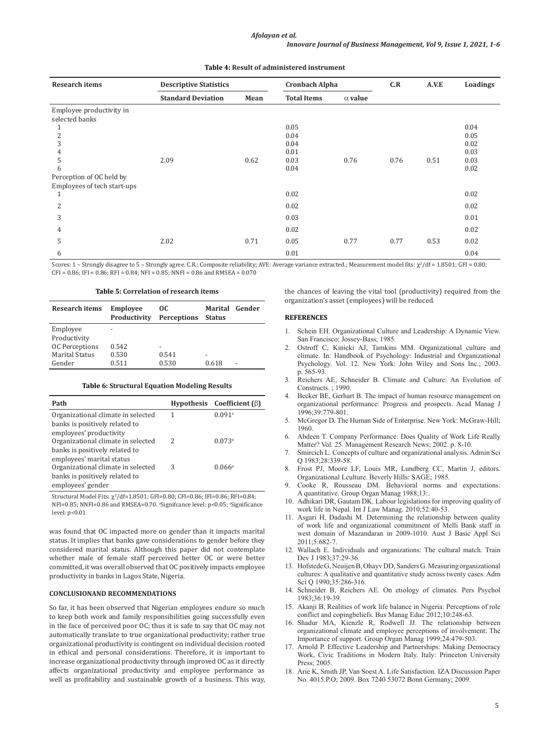| <b>Research items</b>                      | <b>Descriptive Statistics</b> |      | <b>Cronbach Alpha</b> |                | C.R  | A.V.E | Loadings             |  |
|--------------------------------------------|-------------------------------|------|-----------------------|----------------|------|-------|----------------------|--|
|                                            | <b>Standard Deviation</b>     | Mean | <b>Total Items</b>    | $\alpha$ value |      |       |                      |  |
| Employee productivity in<br>selected banks |                               |      |                       |                |      |       |                      |  |
| 1<br>2                                     |                               |      | 0.05<br>0.04          |                |      |       | 0.04<br>0.05         |  |
| 3<br>4<br>5                                | 2.09                          | 0.62 | 0.04<br>0.01<br>0.03  | 0.76           | 0.76 | 0.51  | 0.02<br>0.03<br>0.03 |  |
| 6<br>Perception of OC held by              |                               |      | 0.04                  |                |      |       | 0.02                 |  |
| Employees of tech start-ups                |                               |      |                       |                |      |       |                      |  |
| 1                                          |                               |      | 0.02                  |                |      |       | 0.02                 |  |
| 2                                          |                               |      | 0.02                  |                |      |       | 0.02                 |  |
| 3                                          |                               |      | 0.03                  |                |      |       | 0.01                 |  |
| 4                                          |                               |      | 0.02                  |                |      |       | 0.02                 |  |
| 5                                          | 2.02                          | 0.71 | 0.05                  | 0.77           | 0.77 | 0.53  | 0.02                 |  |
| 6                                          |                               |      | 0.01                  |                |      |       | 0.04                 |  |

### **Table 4: Result of administered instrument**

Scores: 1 – Strongly disagree to 5 – Strongly agree. C.R.: Composite reliability; AVE: Average variance extracted.; Measurement model fits:  $\chi^2/\text{df} = 1.8501$ ; GFI = 0.80;  $CFI = 0.86$ : IFI =  $0.86$ : RFI =  $0.84$ : NFI =  $0.85$ : NNFI =  $0.86$  and RMSEA =  $0.070$ 

# **Table 5: Correlation of research items**

| <b>Research items</b> | Employee<br>Productivity | OC.<br>Perceptions | Marital Gender<br><b>Status</b> |                          |
|-----------------------|--------------------------|--------------------|---------------------------------|--------------------------|
| Employee              |                          |                    |                                 |                          |
| Productivity          |                          |                    |                                 |                          |
| OC Perceptions        | 0.542                    |                    |                                 |                          |
| <b>Marital Status</b> | 0.530                    | 0.541              | $\overline{\phantom{0}}$        |                          |
| Gender                | 0.511                    | 0.530              | 0.618                           | $\overline{\phantom{a}}$ |

#### **Table 6: Structural Equation Modeling Results**

| Path                                                                                              |   | Hypothesis Coefficient $(\beta)$ |
|---------------------------------------------------------------------------------------------------|---|----------------------------------|
| Organizational climate in selected<br>banks is positively related to                              | 1 | 0.091a                           |
| employees' productivity<br>Organizational climate in selected<br>banks is positively related to   | 2 | $0.073$ <sup>a</sup>             |
| employees' marital status<br>Organizational climate in selected<br>banks is positively related to | 3 | 0.066 <sup>a</sup>               |
| employees' gender                                                                                 |   |                                  |

Structural Model Fits: χ<sup>2</sup> /df=1.8501; GFI=0.80; CFI=0.86; IFI=0.86; RFI=0.84; NFI=0.85; NNFI=0.86 and RMSEA=0.70. a Signifcance level: p*<*0.05; s Significance level: p*<*0.01

was found that OC impacted more on gender than it impacts marital status. It implies that banks gave considerations to gender before they considered marital status. Although this paper did not contemplate whether male of female staff perceived better OC or were better committed, it was overall observed that OC positively impacts employee productivity in banks in Lagos State, Nigeria.

#### **CONCLUSIONAND RECOMMENDATIONS**

So far, it has been observed that Nigerian employees endure so much to keep both work and family responsibilities going successfully even in the face of perceived poor OC; thus it is safe to say that OC may not automatically translate to true organizational productivity; rather true organizational productivity is contingent on individual decision rooted in ethical and personal considerations. Therefore, it is important to increase organizational productivity through improved OC as it directly affects organizational productivity and employee performance as well as profitability and sustainable growth of a business. This way, the chances of leaving the vital tool (productivity) required from the organization's asset (employees) will be reduced.

### **REFEREnCES**

- 1. Schein EH. Organizational Culture and Leadership: A Dynamic View. San Francisco: Jossey-Bass; 1985.
- 2. Ostroff C, Kinicki AJ, Tamkins MM. Organizational culture and climate. In: Handbook of Psychology: Industrial and Organizational Psychology. Vol. 12. New York: John Wiley and Sons Inc.; 2003. p. 565-93.
- 3. Reichers AE, Schneider B. Climate and Culture: An Evolution of Constructs. ; 1990.
- Becker BE, Gerhart B. The impact of human resource management on organizational performance: Progress and prospects. Acad Manag J 1996;39:779-801.
- 5. McGregor D. The Human Side of Enterprise. New York: McGraw-Hill; 1960.
- 6. Abdeen T. Company Performance: Does Quality of Work Life Really Matter? Vol. 25. Management Research News; 2002. p. 8-10.
- 7. Smircich L. Concepts of culture and organizational analysis. Admin Sci Q 1983;28:339-58.
- 8. Frost PJ, Moore LF, Louis MR, Lundberg CC, Martin J, editors. Organizational Lculture. Beverly Hills: SAGE; 1985.
- Cooke R, Rousseau DM. Behavioral norms and expectations: A quantitative. Group Organ Manag 1988;13:.
- 10. Adhikari DR, Gautam DK. Labour legislations for improving quality of work life in Nepal. Int J Law Manag. 2010;52:40-53.
- 11. Asgari H, Dadashi M. Determining the relationship between quality of work life and organizational commitment of Melli Bank staff in west domain of Mazandaran in 2009-1010. Aust J Basic Appl Sci 2011;5:682-7.
- 12. Wallach E. Individuals and organizations: The cultural match. Train Dev J 1983;37:29-36.
- 13. Hofstede G, Neuijen B, Ohayv DD, Sanders G. Measuring organizational cultures: A qualitative and quantitative study across twenty cases. Adm Sci Q 1990;35:286-316.
- 14. Schneider B, Reichers AE. On etiology of climates. Pers Psychol 1983;36:19-39.
- 15. Akanji B. Realities of work life balance in Nigeria: Perceptions of role conflict and copingbeliefs. Bus Manag Educ 2012;10:248-63.
- Shadur MA, Kienzle R, Rodwell JJ. The relationship between organizational climate and employee perceptions of involvement: The Importance of support. Group Organ Manag 1999;24:479-503.
- 17. Arnold P. Effective Leadership and Partnerships: Making Democracy Work, Civic Traditions in Modern Italy. Italy: Princeton University Press; 2005.
- 18. Arie K, Smith JP, Van Soest A. Life Satisfaction. IZA Discussion Paper No. 4015.P.O; 2009. Box 7240 53072 Bonn Germany; 2009.